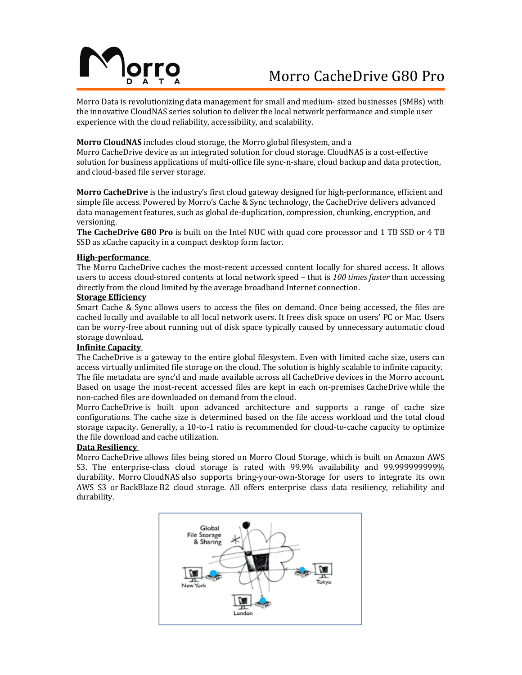# Morro CacheDrive G80 Pro

Morro Data is revolutionizing data management for small and medium- sized businesses (SMBs) with the innovative CloudNAS series solution to deliver the local network performance and simple user experience with the cloud reliability, accessibility, and scalability.

## **Morro CloudNAS** includes cloud storage, the Morro global filesystem, and a

Morro CacheDrive device as an integrated solution for cloud storage. CloudNAS is a cost-effective solution for business applications of multi-office file sync-n-share, cloud backup and data protection, and cloud-based file server storage.

**Morro CacheDrive** is the industry's first cloud gateway designed for high-performance, efficient and simple file access. Powered by Morro's Cache & Sync technology, the CacheDrive delivers advanced data management features, such as global de-duplication, compression, chunking, encryption, and versioning.

**The CacheDrive G80 Pro** is built on the Intel NUC with quad core processor and 1 TB SSD or 4 TB SSD as xCache capacity in a compact desktop form factor.

#### **High-performance**

The Morro CacheDrive caches the most-recent accessed content locally for shared access. It allows users to access cloud-stored contents at local network speed - that is 100 times faster than accessing directly from the cloud limited by the average broadband Internet connection.

## **Storage Efficiency**

Smart Cache  $&$  Sync allows users to access the files on demand. Once being accessed, the files are cached locally and available to all local network users. It frees disk space on users' PC or Mac. Users can be worry-free about running out of disk space typically caused by unnecessary automatic cloud storage download.

#### **Infinite Capacity**

The CacheDrive is a gateway to the entire global filesystem. Even with limited cache size, users can access virtually unlimited file storage on the cloud. The solution is highly scalable to infinite capacity. The file metadata are sync'd and made available across all CacheDrive devices in the Morro account. Based on usage the most-recent accessed files are kept in each on-premises CacheDrive while the non-cached files are downloaded on demand from the cloud.

Morro CacheDrive is built upon advanced architecture and supports a range of cache size configurations. The cache size is determined based on the file access workload and the total cloud storage capacity. Generally, a 10-to-1 ratio is recommended for cloud-to-cache capacity to optimize the file download and cache utilization.

#### **Data Resiliency**

Morro CacheDrive allows files being stored on Morro Cloud Storage, which is built on Amazon AWS S3. The enterprise-class cloud storage is rated with 99.9% availability and 99.999999999% durability. Morro CloudNAS also supports bring-your-own-Storage for users to integrate its own AWS S3 or BackBlaze B2 cloud storage. All offers enterprise class data resiliency, reliability and durability.